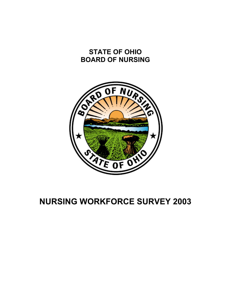# **STATE OF OHIO BOARD OF NURSING**



# **NURSING WORKFORCE SURVEY 2003**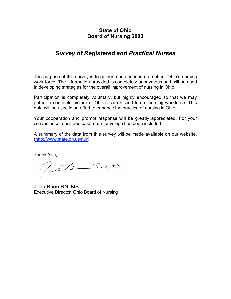### **State of Ohio Board of Nursing 2003**

### *Survey of Registered and Practical Nurses*

The purpose of this survey is to gather much needed data about Ohio's nursing work force. The information provided is completely anonymous and will be used in developing strategies for the overall improvement of nursing in Ohio.

Participation is completely voluntary, but highly encouraged so that we may gather a complete picture of Ohio's current and future nursing workforce. This data will be used in an effort to enhance the practice of nursing in Ohio.

Your cooperation and prompt response will be greatly appreciated. For your convenience a postage paid return envelope has been included

A summary of the data from this survey will be made available on our website. (http://www.state.oh.us/nur)

Thank You,

GeB-RU, MS

John Brion RN, MS Executive Director, Ohio Board of Nursing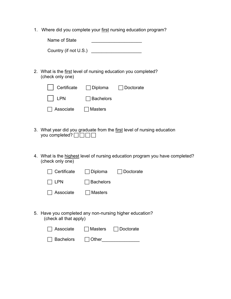1. Where did you complete your first nursing education program?

| Name of State |  |
|---------------|--|
|               |  |

Country (if not U.S.)

2. What is the first level of nursing education you completed? (check only one)

| Certificate □ Diploma □ Doctorate |                  |  |
|-----------------------------------|------------------|--|
| $\vert$ $\vert$ LPN $\vert$       | $\Box$ Bachelors |  |
| $\Box$ Associate $\Box$ Masters   |                  |  |

- 3. What year did you graduate from the first level of nursing education you completed? $\Box \Box \Box \Box$
- 4. What is the highest level of nursing education program you have completed? (check only one)

| □ Certificate □ Diploma □ Doctorate |                  |  |
|-------------------------------------|------------------|--|
| IILPN                               | $\Box$ Bachelors |  |
| $\Box$ Associate $\Box$ Masters     |                  |  |

5. Have you completed any non-nursing higher education? (check all that apply)

| $\Box$ Associate | Masters         | Doctorate |
|------------------|-----------------|-----------|
| $\Box$ Bachelors | $\vert$   Other |           |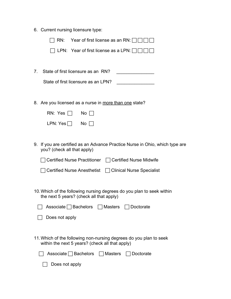6. Current nursing licensure type:

| $RN:$ Year of first license as an RN: [                                                                               |
|-----------------------------------------------------------------------------------------------------------------------|
| LPN: Year of first license as a LPN: [                                                                                |
|                                                                                                                       |
| State of first licensure as an RN?<br>7.                                                                              |
|                                                                                                                       |
| State of first licensure as an LPN?                                                                                   |
|                                                                                                                       |
| 8. Are you licensed as a nurse in more than one state?                                                                |
| RN: Yes $\Box$<br>$No \Box$                                                                                           |
| LPN: Yes $\Box$<br>No <sub>1</sub>                                                                                    |
|                                                                                                                       |
| If you are certified as an Advance Practice Nurse in Ohio, which type are<br>9.<br>you? (check all that apply)        |
| Certified Nurse Practitioner □ Certified Nurse Midwife                                                                |
| <b>Certified Nurse Anesthetist</b><br>□ Clinical Nurse Specialist                                                     |
|                                                                                                                       |
| 10. Which of the following nursing degrees do you plan to seek within<br>the next 5 years? (check all that apply)     |
| Associate $\Box$ Bachelors<br>$\Box$ Masters<br>Doctorate                                                             |
|                                                                                                                       |
| Does not apply                                                                                                        |
| 11. Which of the following non-nursing degrees do you plan to seek<br>within the next 5 years? (check all that apply) |
| Associate $\Box$ Bachelors<br>$\Box$ Masters<br>Doctorate                                                             |
| Does not apply                                                                                                        |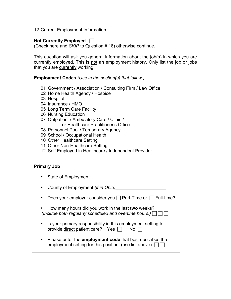12.Current Employment Information

#### **Not Currently Employed**

(Check here and *SKIP* to Question # 18) otherwise continue.

This question will ask you general information about the job(s) in which you are currently employed. This is not an employment history. Only list the job or jobs that you are currently working.

**Employment Codes** *(Use in the section(s) that follow.)*

- 01 Government / Association / Consulting Firm / Law Office
- 02 Home Health Agency / Hospice
- 03 Hospital
- 04 Insurance / HMO
- 05 Long Term Care Facility
- 06 Nursing Education
- 07 Outpatient / Ambulatory Care / Clinic / or Healthcare Practitioner's Office
- 08 Personnel Pool / Temporary Agency
- 09 School / Occupational Health
- 10 Other Healthcare Setting
- 11 Other Non-Healthcare Setting
- 12 Self Employed in Healthcare / Independent Provider

#### **Primary Job**

| State of Employment                                                                                                                    |
|----------------------------------------------------------------------------------------------------------------------------------------|
| County of Employment <i>(if in Ohio)</i>                                                                                               |
| Does your employer consider you $\Box$ Part-Time or $\Box$ Full-time?<br>$\bullet$                                                     |
| • How many hours did you work in the last two weeks?<br>(Include both regularly scheduled and overtime hours.)                         |
| Is your primary responsibility in this employment setting to<br>$\bullet$<br>provide direct patient care? Yes $\Box$<br>$No \Box$      |
| Please enter the <b>employment code</b> that best describes the<br>$\bullet$<br>employment setting for this position. (use list above) |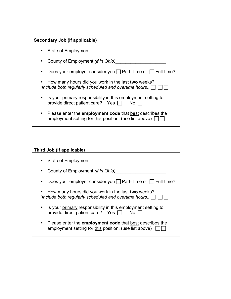| <b>Secondary Job (if applicable)</b> |  |  |  |
|--------------------------------------|--|--|--|
|--------------------------------------|--|--|--|

| State of Employment                                                                                                                             |
|-------------------------------------------------------------------------------------------------------------------------------------------------|
| County of Employment <i>(if in Ohio)</i><br>$\bullet$                                                                                           |
| Does your employer consider you $\Box$ Part-Time or $\Box$ Full-time?<br>$\bullet$                                                              |
| How many hours did you work in the last two weeks?<br>(Include both regularly scheduled and overtime hours.)                                    |
| Is your primary responsibility in this employment setting to<br>provide direct patient care? Yes $\Box$<br>$No$ $\Box$                          |
| Please enter the <b>employment code</b> that <b>best</b> describes the<br>$\bullet$<br>employment setting for this position. (use list above) [ |

### **Third Job (if applicable)**

| State of Employment                                                                                                                    |
|----------------------------------------------------------------------------------------------------------------------------------------|
| County of Employment (if in Ohio)<br>$\bullet$                                                                                         |
| Does your employer consider you $\Box$ Part-Time or $\Box$ Full-time?                                                                  |
| • How many hours did you work in the last two weeks?<br>(Include both regularly scheduled and overtime hours.) $\Box$                  |
| Is your primary responsibility in this employment setting to<br>provide direct patient care? Yes $\Box$<br>No <sub>1</sub>             |
| Please enter the <b>employment code</b> that best describes the<br>$\bullet$<br>employment setting for this position. (use list above) |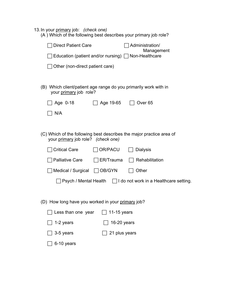#### 13.In your primary job: *(check one)*

| (A) Which of the following best describes your primary job role?                           |                  |                                                                      |  |  |
|--------------------------------------------------------------------------------------------|------------------|----------------------------------------------------------------------|--|--|
| <b>Direct Patient Care</b>                                                                 |                  | Administration/<br>Management                                        |  |  |
|                                                                                            |                  | Education (patient and/or nursing) $\Box$ Non-Healthcare             |  |  |
| Other (non-direct patient care)                                                            |                  |                                                                      |  |  |
|                                                                                            |                  |                                                                      |  |  |
| (B) Which client/patient age range do you primarily work with in<br>your primary job role? |                  |                                                                      |  |  |
| Age $0-18$                                                                                 | Age 19-65        | Over <sub>65</sub>                                                   |  |  |
| N/A                                                                                        |                  |                                                                      |  |  |
|                                                                                            |                  |                                                                      |  |  |
| your primary job role? (check one)                                                         |                  | (C) Which of the following best describes the major practice area of |  |  |
| <b>Critical Care</b>                                                                       | OR/PACU          | <b>Dialysis</b>                                                      |  |  |
| <b>Palliative Care</b>                                                                     | $\Box$ ER/Trauma | Rehabilitation                                                       |  |  |
| Medical / Surgical                                                                         | OB/GYN           | Other                                                                |  |  |
| Psych / Mental Health $\Box$ I do not work in a Healthcare setting.                        |                  |                                                                      |  |  |
|                                                                                            |                  |                                                                      |  |  |
| (D) How long have you worked in your primary job?                                          |                  |                                                                      |  |  |
| Less than one year                                                                         | 11-15 years      |                                                                      |  |  |
| 1-2 years                                                                                  | 16-20 years      |                                                                      |  |  |
| 3-5 years                                                                                  | 21 plus years    |                                                                      |  |  |

 $\Box$  6-10 years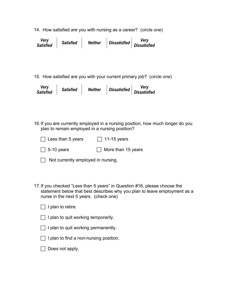14. How satisfied are you with nursing as a career? (*circle one*)

| Verv<br><b>Satisfied</b> | <b>Satisfied</b> | <b>Neither</b> | <b>Dissatisfied</b> | <b>Very</b><br><b>Dissatisfied</b> |
|--------------------------|------------------|----------------|---------------------|------------------------------------|
|--------------------------|------------------|----------------|---------------------|------------------------------------|

15. How satisfied are you with your current primary job? (*circle one*)

| <b>Verv</b><br><b>Satisfied</b> | <b>Satisfied</b> | <b>Neither</b> | <b>Dissatisfied</b> | Verv<br><b>Dissatisfied</b> |
|---------------------------------|------------------|----------------|---------------------|-----------------------------|
|---------------------------------|------------------|----------------|---------------------|-----------------------------|

16.If you are currently employed in a nursing position, how much longer do you plan to remain employed in a nursing position?

| $\Box$ Less than 5 years | $\Box$ 11-15 years        |
|--------------------------|---------------------------|
| $\Box$ 5-10 years        | $\Box$ More than 15 years |

|  | Not currently employed in nursing. |  |
|--|------------------------------------|--|
|--|------------------------------------|--|

17.If you checked "Less than 5 years" in Question #16, please choose the statement below that best describes why you plan to leave employment as a nurse in the next 5 years. (check one)

- $\Box$  I plan to quit working temporarily.
- $\Box$  I plan to quit working permanently.
- $\Box$  I plan to find a non-nursing position.
- $\Box$  Does not apply.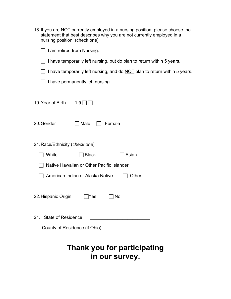| 18. If you are NOT currently employed in a nursing position, please choose the<br>statement that best describes why you are not currently employed in a<br>nursing position. (check one) |
|------------------------------------------------------------------------------------------------------------------------------------------------------------------------------------------|
| I am retired from Nursing.                                                                                                                                                               |
| I have temporarily left nursing, but do plan to return within 5 years.                                                                                                                   |
| I have temporarily left nursing, and do NOT plan to return within 5 years.                                                                                                               |
| I have permanently left nursing.                                                                                                                                                         |
| 19. Year of Birth<br>19                                                                                                                                                                  |
| 20. Gender<br>Female<br>  Male                                                                                                                                                           |
| 21. Race/Ethnicity (check one)                                                                                                                                                           |
| White<br><b>Black</b><br>Asian                                                                                                                                                           |
| Native Hawaiian or Other Pacific Islander                                                                                                                                                |
| American Indian or Alaska Native<br>Other                                                                                                                                                |
| 22. Hispanic Origin<br>$\Box$ No<br><b>Nes</b>                                                                                                                                           |
| <b>State of Residence</b><br>21.                                                                                                                                                         |
| County of Residence (if Ohio) ____________________                                                                                                                                       |
| Thank you for participating<br>in our survey.                                                                                                                                            |